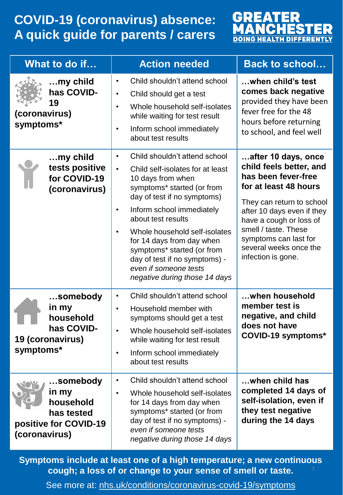## **COVID-19 (coronavirus) absence: A quick guide for parents / carers**



| What to do if                                                                          | <b>Action needed</b>                                                                                                                                                                                                                                                                                                                                                                                                                              | <b>Back to school</b>                                                                                                                                                                                                                                                                 |
|----------------------------------------------------------------------------------------|---------------------------------------------------------------------------------------------------------------------------------------------------------------------------------------------------------------------------------------------------------------------------------------------------------------------------------------------------------------------------------------------------------------------------------------------------|---------------------------------------------------------------------------------------------------------------------------------------------------------------------------------------------------------------------------------------------------------------------------------------|
| my child<br>has COVID-<br>19<br>(coronavirus)<br>symptoms*                             | Child shouldn't attend school<br>$\bullet$<br>Child should get a test<br>$\bullet$<br>Whole household self-isolates<br>$\bullet$<br>while waiting for test result<br>Inform school immediately<br>$\bullet$<br>about test results                                                                                                                                                                                                                 | when child's test<br>comes back negative<br>provided they have been<br>fever free for the 48<br>hours before returning<br>to school, and feel well                                                                                                                                    |
| $$ my child<br>tests positive<br>for COVID-19<br>(coronavirus)                         | Child shouldn't attend school<br>$\bullet$<br>Child self-isolates for at least<br>$\bullet$<br>10 days from when<br>symptoms* started (or from<br>day of test if no symptoms)<br>Inform school immediately<br>$\bullet$<br>about test results<br>Whole household self-isolates<br>$\bullet$<br>for 14 days from day when<br>symptoms* started (or from<br>day of test if no symptoms) -<br>even if someone tests<br>negative during those 14 days | after 10 days, once<br>child feels better, and<br>has been fever-free<br>for at least 48 hours<br>They can return to school<br>after 10 days even if they<br>have a cough or loss of<br>smell / taste. These<br>symptoms can last for<br>several weeks once the<br>infection is gone. |
| somebody<br>in my<br>household<br>has COVID-<br>19 (coronavirus)<br>symptoms*          | Child shouldn't attend school<br>$\bullet$<br>Household member with<br>$\bullet$<br>symptoms should get a test<br>Whole household self-isolates<br>$\bullet$<br>while waiting for test result<br>Inform school immediately<br>٠<br>about test results                                                                                                                                                                                             | when household<br>member test is<br>negative, and child<br>does not have<br>COVID-19 symptoms*                                                                                                                                                                                        |
| somebody<br>in my<br>household<br>has tested<br>positive for COVID-19<br>(coronavirus) | Child shouldn't attend school<br>$\bullet$<br>Whole household self-isolates<br>$\bullet$<br>for 14 days from day when<br>symptoms* started (or from<br>day of test if no symptoms) -<br>even if someone tests<br>negative during those 14 days                                                                                                                                                                                                    | when child has<br>completed 14 days of<br>self-isolation, even if<br>they test negative<br>during the 14 days                                                                                                                                                                         |

**Symptoms include at least one of a high temperature; a new continuous cough; a loss of or change to your sense of smell or taste.** 

See more at: [nhs.uk/conditions/coronavirus-covid-19/symptoms](https://www.nhs.uk/conditions/coronavirus-covid-19/symptoms/)